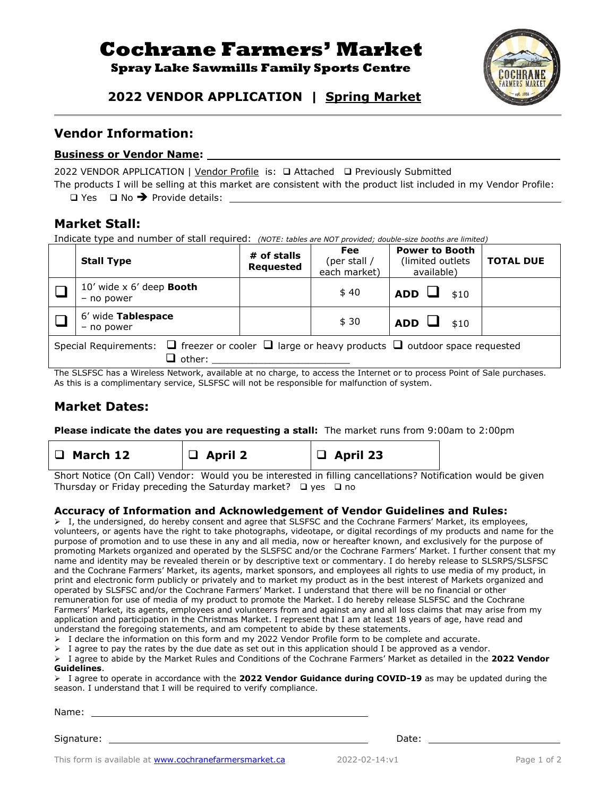# **Cochrane Farmers' Market**

### **Spray Lake Sawmills Family Sports Centre**



# **2022 VENDOR APPLICATION** *|* **Spring Market**

#### **Vendor Information:**

#### **Business or Vendor Name:**

2022 VENDOR APPLICATION | Vendor Profile is: □ Attached □ Previously Submitted

The products I will be selling at this market are consistent with the product list included in my Vendor Profile:

❑ Yes ❑ No ➔ Provide details:

## **Market Stall:**

Indicate type and number of stall required: *(NOTE: tables are NOT provided; double-size booths are limited)*

| $10'$ wide x $6'$ deep <b>Booth</b><br>\$40<br><b>ADD</b><br>\$10<br>- no power                                                                                                                                                                     |  |  |  |  |  |  |  |
|-----------------------------------------------------------------------------------------------------------------------------------------------------------------------------------------------------------------------------------------------------|--|--|--|--|--|--|--|
| 6' wide Tablespace<br>\$30<br><b>ADD</b><br>\$10<br>- no power                                                                                                                                                                                      |  |  |  |  |  |  |  |
| Special Requirements: $\Box$ freezer or cooler $\Box$ large or heavy products $\Box$ outdoor space requested<br>$\sqcup$ other:<br>$\mathbf{r}$ , and $\mathbf{r}$ , and $\mathbf{r}$ , and $\mathbf{r}$ , and $\mathbf{r}$ , and $\mathbf{r}$<br>. |  |  |  |  |  |  |  |

The SLSFSC has a Wireless Network, available at no charge, to access the Internet or to process Point of Sale purchases. As this is a complimentary service, SLSFSC will not be responsible for malfunction of system.

# **Market Dates:**

**Please indicate the dates you are requesting a stall:** The market runs from 9:00am to 2:00pm

| $\Box$ March 12 | $\Box$ April 2 | $\Box$ April 23 |
|-----------------|----------------|-----------------|
|                 |                |                 |

Short Notice (On Call) Vendor: Would you be interested in filling cancellations? Notification would be given Thursday or Friday preceding the Saturday market? ❑ yes ❑ no

#### **Accuracy of Information and Acknowledgement of Vendor Guidelines and Rules:**

➢ I, the undersigned, do hereby consent and agree that SLSFSC and the Cochrane Farmers' Market, its employees, volunteers, or agents have the right to take photographs, videotape, or digital recordings of my products and name for the purpose of promotion and to use these in any and all media, now or hereafter known, and exclusively for the purpose of promoting Markets organized and operated by the SLSFSC and/or the Cochrane Farmers' Market. I further consent that my name and identity may be revealed therein or by descriptive text or commentary. I do hereby release to SLSRPS/SLSFSC and the Cochrane Farmers' Market, its agents, market sponsors, and employees all rights to use media of my product, in print and electronic form publicly or privately and to market my product as in the best interest of Markets organized and operated by SLSFSC and/or the Cochrane Farmers' Market. I understand that there will be no financial or other remuneration for use of media of my product to promote the Market. I do hereby release SLSFSC and the Cochrane Farmers' Market, its agents, employees and volunteers from and against any and all loss claims that may arise from my application and participation in the Christmas Market. I represent that I am at least 18 years of age, have read and understand the foregoing statements, and am competent to abide by these statements.

➢ I declare the information on this form and my 2022 Vendor Profile form to be complete and accurate.

 $\triangleright$  I agree to pay the rates by the due date as set out in this application should I be approved as a vendor.

➢ I agree to abide by the Market Rules and Conditions of the Cochrane Farmers' Market as detailed in the **2022 Vendor Guidelines**.

➢ I agree to operate in accordance with the **2022 Vendor Guidance during COVID-19** as may be updated during the season. I understand that I will be required to verify compliance.

| Name:      |       |
|------------|-------|
|            |       |
| Signature: | Date: |